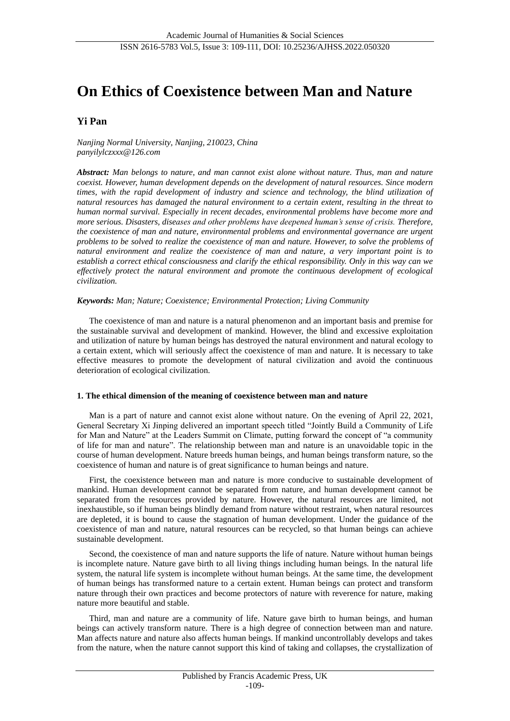# **On Ethics of Coexistence between Man and Nature**

# **Yi Pan**

*Nanjing Normal University, Nanjing, 210023, China panyilylczxxx@126.com*

*Abstract: Man belongs to nature, and man cannot exist alone without nature. Thus, man and nature coexist. However, human development depends on the development of natural resources. Since modern*  times, with the rapid development of industry and science and technology, the blind utilization of *natural resources has damaged the natural environment to a certain extent, resulting in the threat to human normal survival. Especially in recent decades, environmental problems have become more and more serious. Disasters, diseases and other problems have deepened human's sense of crisis. Therefore, the coexistence of man and nature, environmental problems and environmental governance are urgent problems to be solved to realize the coexistence of man and nature. However, to solve the problems of natural environment and realize the coexistence of man and nature, a very important point is to establish a correct ethical consciousness and clarify the ethical responsibility. Only in this way can we effectively protect the natural environment and promote the continuous development of ecological civilization.*

#### *Keywords: Man; Nature; Coexistence; Environmental Protection; Living Community*

The coexistence of man and nature is a natural phenomenon and an important basis and premise for the sustainable survival and development of mankind. However, the blind and excessive exploitation and utilization of nature by human beings has destroyed the natural environment and natural ecology to a certain extent, which will seriously affect the coexistence of man and nature. It is necessary to take effective measures to promote the development of natural civilization and avoid the continuous deterioration of ecological civilization.

## **1. The ethical dimension of the meaning of coexistence between man and nature**

Man is a part of nature and cannot exist alone without nature. On the evening of April 22, 2021, General Secretary Xi Jinping delivered an important speech titled "Jointly Build a Community of Life for Man and Nature" at the Leaders Summit on Climate, putting forward the concept of "a community of life for man and nature". The relationship between man and nature is an unavoidable topic in the course of human development. Nature breeds human beings, and human beings transform nature, so the coexistence of human and nature is of great significance to human beings and nature.

First, the coexistence between man and nature is more conducive to sustainable development of mankind. Human development cannot be separated from nature, and human development cannot be separated from the resources provided by nature. However, the natural resources are limited, not inexhaustible, so if human beings blindly demand from nature without restraint, when natural resources are depleted, it is bound to cause the stagnation of human development. Under the guidance of the coexistence of man and nature, natural resources can be recycled, so that human beings can achieve sustainable development.

Second, the coexistence of man and nature supports the life of nature. Nature without human beings is incomplete nature. Nature gave birth to all living things including human beings. In the natural life system, the natural life system is incomplete without human beings. At the same time, the development of human beings has transformed nature to a certain extent. Human beings can protect and transform nature through their own practices and become protectors of nature with reverence for nature, making nature more beautiful and stable.

Third, man and nature are a community of life. Nature gave birth to human beings, and human beings can actively transform nature. There is a high degree of connection between man and nature. Man affects nature and nature also affects human beings. If mankind uncontrollably develops and takes from the nature, when the nature cannot support this kind of taking and collapses, the crystallization of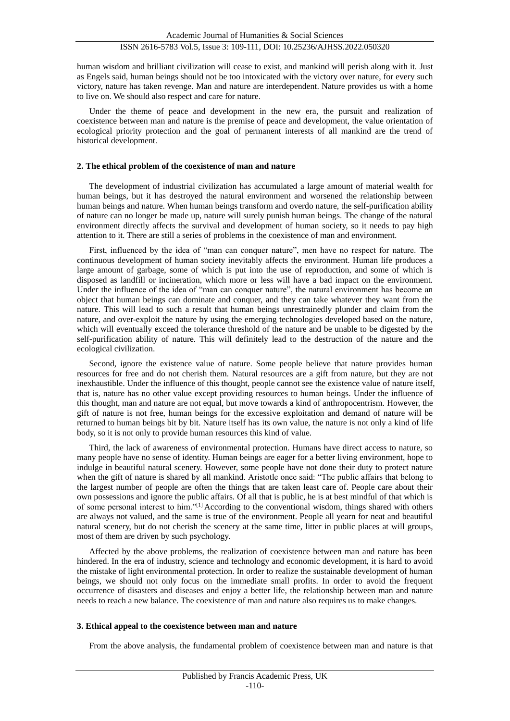human wisdom and brilliant civilization will cease to exist, and mankind will perish along with it. Just as Engels said, human beings should not be too intoxicated with the victory over nature, for every such victory, nature has taken revenge. Man and nature are interdependent. Nature provides us with a home to live on. We should also respect and care for nature.

Under the theme of peace and development in the new era, the pursuit and realization of coexistence between man and nature is the premise of peace and development, the value orientation of ecological priority protection and the goal of permanent interests of all mankind are the trend of historical development.

#### **2. The ethical problem of the coexistence of man and nature**

The development of industrial civilization has accumulated a large amount of material wealth for human beings, but it has destroyed the natural environment and worsened the relationship between human beings and nature. When human beings transform and overdo nature, the self-purification ability of nature can no longer be made up, nature will surely punish human beings. The change of the natural environment directly affects the survival and development of human society, so it needs to pay high attention to it. There are still a series of problems in the coexistence of man and environment.

First, influenced by the idea of "man can conquer nature", men have no respect for nature. The continuous development of human society inevitably affects the environment. Human life produces a large amount of garbage, some of which is put into the use of reproduction, and some of which is disposed as landfill or incineration, which more or less will have a bad impact on the environment. Under the influence of the idea of "man can conquer nature", the natural environment has become an object that human beings can dominate and conquer, and they can take whatever they want from the nature. This will lead to such a result that human beings unrestrainedly plunder and claim from the nature, and over-exploit the nature by using the emerging technologies developed based on the nature, which will eventually exceed the tolerance threshold of the nature and be unable to be digested by the self-purification ability of nature. This will definitely lead to the destruction of the nature and the ecological civilization.

Second, ignore the existence value of nature. Some people believe that nature provides human resources for free and do not cherish them. Natural resources are a gift from nature, but they are not inexhaustible. Under the influence of this thought, people cannot see the existence value of nature itself, that is, nature has no other value except providing resources to human beings. Under the influence of this thought, man and nature are not equal, but move towards a kind of anthropocentrism. However, the gift of nature is not free, human beings for the excessive exploitation and demand of nature will be returned to human beings bit by bit. Nature itself has its own value, the nature is not only a kind of life body, so it is not only to provide human resources this kind of value.

Third, the lack of awareness of environmental protection. Humans have direct access to nature, so many people have no sense of identity. Human beings are eager for a better living environment, hope to indulge in beautiful natural scenery. However, some people have not done their duty to protect nature when the gift of nature is shared by all mankind. Aristotle once said: "The public affairs that belong to the largest number of people are often the things that are taken least care of. People care about their own possessions and ignore the public affairs. Of all that is public, he is at best mindful of that which is of some personal interest to him."[1] According to the conventional wisdom, things shared with others are always not valued, and the same is true of the environment. People all yearn for neat and beautiful natural scenery, but do not cherish the scenery at the same time, litter in public places at will groups, most of them are driven by such psychology.

Affected by the above problems, the realization of coexistence between man and nature has been hindered. In the era of industry, science and technology and economic development, it is hard to avoid the mistake of light environmental protection. In order to realize the sustainable development of human beings, we should not only focus on the immediate small profits. In order to avoid the frequent occurrence of disasters and diseases and enjoy a better life, the relationship between man and nature needs to reach a new balance. The coexistence of man and nature also requires us to make changes.

#### **3. Ethical appeal to the coexistence between man and nature**

From the above analysis, the fundamental problem of coexistence between man and nature is that